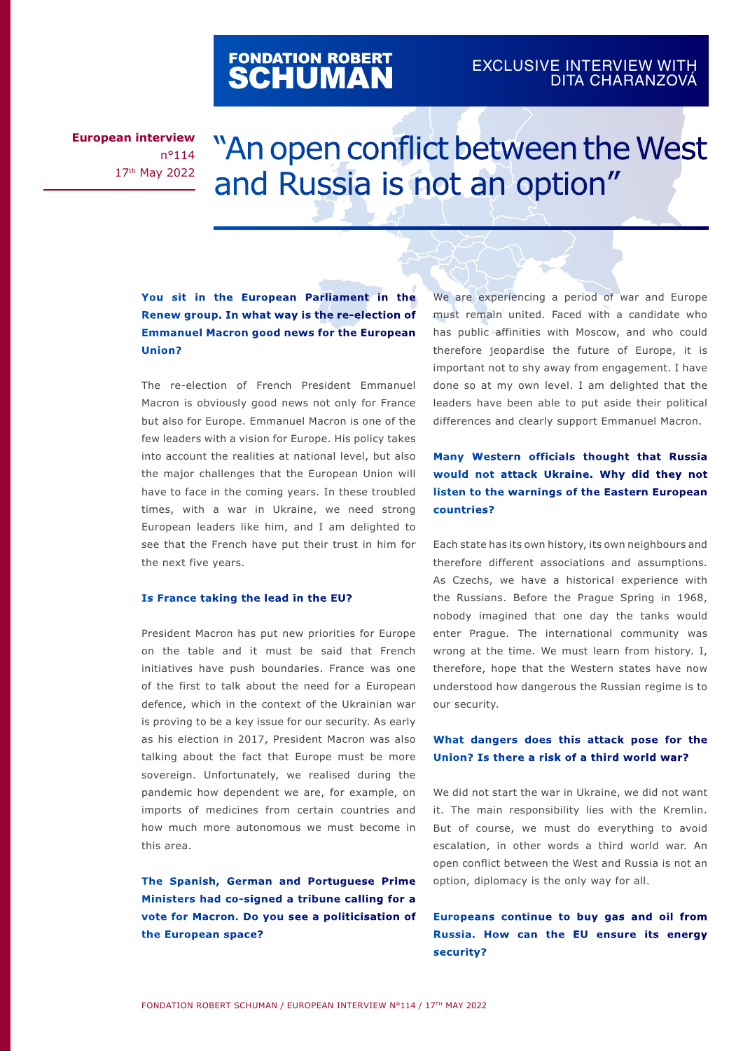# FONDATION ROBERT<br>**SCHUMAN**

### EXCLUSIVE INTERVIEW WITH DITA CHARANZOVÁ

**European interview** n°114 17th May 2022

## "An open conflict between the West and Russia is not an option"

#### **You sit in the European Parliament in the Renew group. In what way is the re-election of Emmanuel Macron good news for the European Union?**

The re-election of French President Emmanuel Macron is obviously good news not only for France but also for Europe. Emmanuel Macron is one of the few leaders with a vision for Europe. His policy takes into account the realities at national level, but also the major challenges that the European Union will have to face in the coming years. In these troubled times, with a war in Ukraine, we need strong European leaders like him, and I am delighted to see that the French have put their trust in him for the next five years.

#### **Is France taking the lead in the EU?**

President Macron has put new priorities for Europe on the table and it must be said that French initiatives have push boundaries. France was one of the first to talk about the need for a European defence, which in the context of the Ukrainian war is proving to be a key issue for our security. As early as his election in 2017, President Macron was also talking about the fact that Europe must be more sovereign. Unfortunately, we realised during the pandemic how dependent we are, for example, on imports of medicines from certain countries and how much more autonomous we must become in this area.

**The Spanish, German and Portuguese Prime Ministers had co-signed a tribune calling for a vote for Macron. Do you see a politicisation of the European space?** 

We are experiencing a period of war and Europe must remain united. Faced with a candidate who has public affinities with Moscow, and who could therefore jeopardise the future of Europe, it is important not to shy away from engagement. I have done so at my own level. I am delighted that the leaders have been able to put aside their political differences and clearly support Emmanuel Macron.

#### **Many Western officials thought that Russia would not attack Ukraine. Why did they not listen to the warnings of the Eastern European countries?**

Each state has its own history, its own neighbours and therefore different associations and assumptions. As Czechs, we have a historical experience with the Russians. Before the Prague Spring in 1968, nobody imagined that one day the tanks would enter Prague. The international community was wrong at the time. We must learn from history. I, therefore, hope that the Western states have now understood how dangerous the Russian regime is to our security.

#### **What dangers does this attack pose for the Union? Is there a risk of a third world war?**

We did not start the war in Ukraine, we did not want it. The main responsibility lies with the Kremlin. But of course, we must do everything to avoid escalation, in other words a third world war. An open conflict between the West and Russia is not an option, diplomacy is the only way for all.

**Europeans continue to buy gas and oil from Russia. How can the EU ensure its energy security?**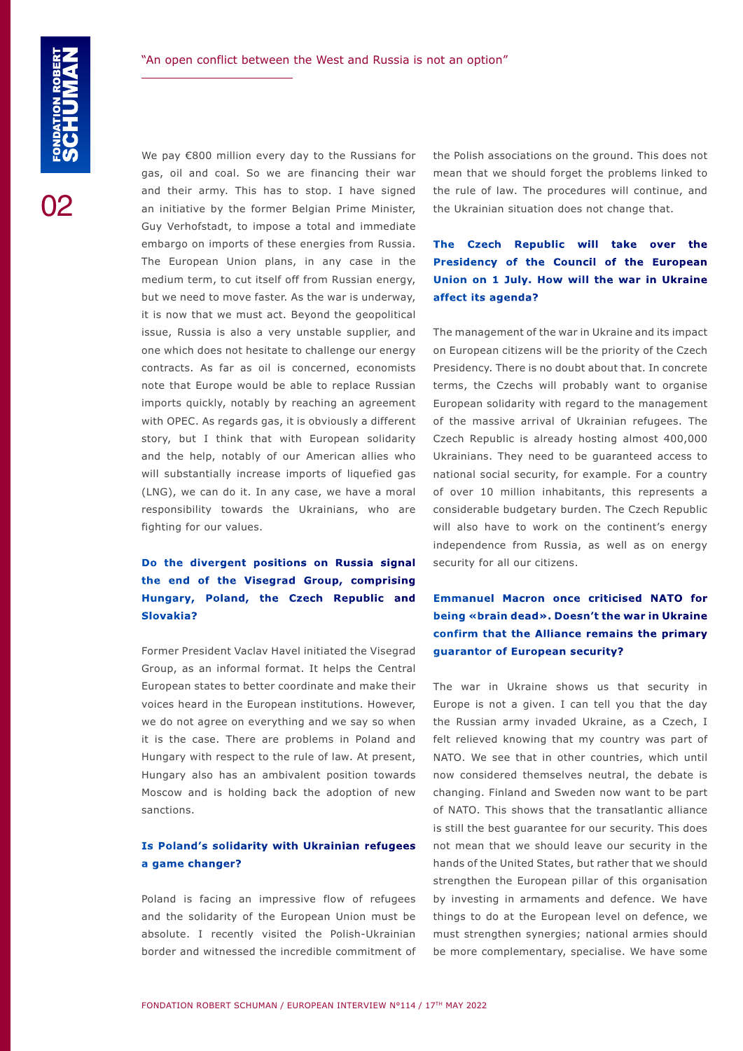02

We pay €800 million every day to the Russians for gas, oil and coal. So we are financing their war and their army. This has to stop. I have signed an initiative by the former Belgian Prime Minister, Guy Verhofstadt, to impose a total and immediate embargo on imports of these energies from Russia. The European Union plans, in any case in the medium term, to cut itself off from Russian energy, but we need to move faster. As the war is underway, it is now that we must act. Beyond the geopolitical issue, Russia is also a very unstable supplier, and one which does not hesitate to challenge our energy contracts. As far as oil is concerned, economists note that Europe would be able to replace Russian imports quickly, notably by reaching an agreement with OPEC. As regards gas, it is obviously a different story, but I think that with European solidarity and the help, notably of our American allies who will substantially increase imports of liquefied gas (LNG), we can do it. In any case, we have a moral responsibility towards the Ukrainians, who are fighting for our values.

#### **Do the divergent positions on Russia signal the end of the Visegrad Group, comprising Hungary, Poland, the Czech Republic and Slovakia?**

Former President Vaclav Havel initiated the Visegrad Group, as an informal format. It helps the Central European states to better coordinate and make their voices heard in the European institutions. However, we do not agree on everything and we say so when it is the case. There are problems in Poland and Hungary with respect to the rule of law. At present, Hungary also has an ambivalent position towards Moscow and is holding back the adoption of new sanctions.

#### **Is Poland's solidarity with Ukrainian refugees a game changer?**

Poland is facing an impressive flow of refugees and the solidarity of the European Union must be absolute. I recently visited the Polish-Ukrainian border and witnessed the incredible commitment of the Polish associations on the ground. This does not mean that we should forget the problems linked to the rule of law. The procedures will continue, and the Ukrainian situation does not change that.

#### **The Czech Republic will take over the Presidency of the Council of the European Union on 1 July. How will the war in Ukraine affect its agenda?**

The management of the war in Ukraine and its impact on European citizens will be the priority of the Czech Presidency. There is no doubt about that. In concrete terms, the Czechs will probably want to organise European solidarity with regard to the management of the massive arrival of Ukrainian refugees. The Czech Republic is already hosting almost 400,000 Ukrainians. They need to be guaranteed access to national social security, for example. For a country of over 10 million inhabitants, this represents a considerable budgetary burden. The Czech Republic will also have to work on the continent's energy independence from Russia, as well as on energy security for all our citizens.

#### **Emmanuel Macron once criticised NATO for being «brain dead». Doesn't the war in Ukraine confirm that the Alliance remains the primary guarantor of European security?**

The war in Ukraine shows us that security in Europe is not a given. I can tell you that the day the Russian army invaded Ukraine, as a Czech, I felt relieved knowing that my country was part of NATO. We see that in other countries, which until now considered themselves neutral, the debate is changing. Finland and Sweden now want to be part of NATO. This shows that the transatlantic alliance is still the best guarantee for our security. This does not mean that we should leave our security in the hands of the United States, but rather that we should strengthen the European pillar of this organisation by investing in armaments and defence. We have things to do at the European level on defence, we must strengthen synergies; national armies should be more complementary, specialise. We have some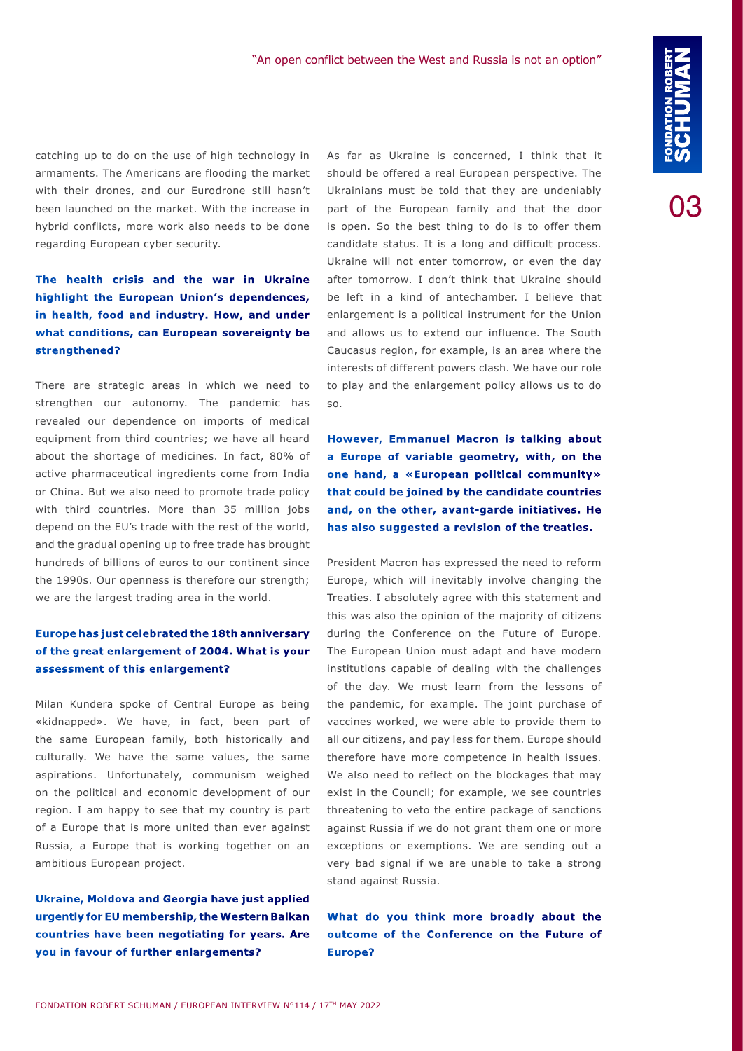03

catching up to do on the use of high technology in armaments. The Americans are flooding the market with their drones, and our Eurodrone still hasn't been launched on the market. With the increase in hybrid conflicts, more work also needs to be done regarding European cyber security.

#### **The health crisis and the war in Ukraine highlight the European Union's dependences, in health, food and industry. How, and under what conditions, can European sovereignty be strengthened?**

There are strategic areas in which we need to strengthen our autonomy. The pandemic has revealed our dependence on imports of medical equipment from third countries; we have all heard about the shortage of medicines. In fact, 80% of active pharmaceutical ingredients come from India or China. But we also need to promote trade policy with third countries. More than 35 million jobs depend on the EU's trade with the rest of the world, and the gradual opening up to free trade has brought hundreds of billions of euros to our continent since the 1990s. Our openness is therefore our strength; we are the largest trading area in the world.

#### **Europe has just celebrated the 18th anniversary of the great enlargement of 2004. What is your assessment of this enlargement?**

Milan Kundera spoke of Central Europe as being «kidnapped». We have, in fact, been part of the same European family, both historically and culturally. We have the same values, the same aspirations. Unfortunately, communism weighed on the political and economic development of our region. I am happy to see that my country is part of a Europe that is more united than ever against Russia, a Europe that is working together on an ambitious European project.

**Ukraine, Moldova and Georgia have just applied urgently for EU membership, the Western Balkan countries have been negotiating for years. Are you in favour of further enlargements?** 

As far as Ukraine is concerned, I think that it should be offered a real European perspective. The Ukrainians must be told that they are undeniably part of the European family and that the door is open. So the best thing to do is to offer them candidate status. It is a long and difficult process. Ukraine will not enter tomorrow, or even the day after tomorrow. I don't think that Ukraine should be left in a kind of antechamber. I believe that enlargement is a political instrument for the Union and allows us to extend our influence. The South Caucasus region, for example, is an area where the interests of different powers clash. We have our role to play and the enlargement policy allows us to do so.

**However, Emmanuel Macron is talking about a Europe of variable geometry, with, on the one hand, a «European political community» that could be joined by the candidate countries and, on the other, avant-garde initiatives. He has also suggested a revision of the treaties.**

President Macron has expressed the need to reform Europe, which will inevitably involve changing the Treaties. I absolutely agree with this statement and this was also the opinion of the majority of citizens during the Conference on the Future of Europe. The European Union must adapt and have modern institutions capable of dealing with the challenges of the day. We must learn from the lessons of the pandemic, for example. The joint purchase of vaccines worked, we were able to provide them to all our citizens, and pay less for them. Europe should therefore have more competence in health issues. We also need to reflect on the blockages that may exist in the Council; for example, we see countries threatening to veto the entire package of sanctions against Russia if we do not grant them one or more exceptions or exemptions. We are sending out a very bad signal if we are unable to take a strong stand against Russia.

**What do you think more broadly about the outcome of the Conference on the Future of Europe?**